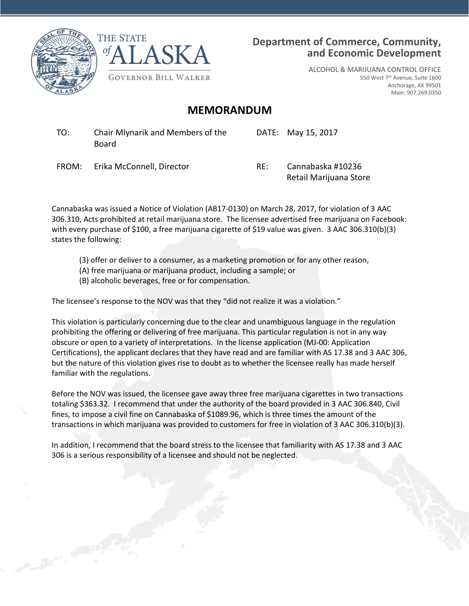



### **Department of Commerce, Community, and Economic Development**

ALCOHOL & MARIJUANA CONTROL OFFICE 550 West 7th Avenue, Suite 1600 Anchorage, AK 99501 Main: 907.269.0350

## **MEMORANDUM**

TO: Chair Mlynarik and Members of the Board

DATE: May 15, 2017

FROM: Erika McConnell, Director RE: Cannabaska #10236

Retail Marijuana Store

Cannabaska was issued a Notice of Violation (AB17-0130) on March 28, 2017, for violation of 3 AAC 306.310, Acts prohibited at retail marijuana store. The licensee advertised free marijuana on Facebook: with every purchase of \$100, a free marijuana cigarette of \$19 value was given. 3 AAC 306.310(b)(3) states the following:

- (3) offer or deliver to a consumer, as a marketing promotion or for any other reason,
- (A) free marijuana or marijuana product, including a sample; or
- (B) alcoholic beverages, free or for compensation.

The licensee's response to the NOV was that they "did not realize it was a violation."

This violation is particularly concerning due to the clear and unambiguous language in the regulation prohibiting the offering or delivering of free marijuana. This particular regulation is not in any way obscure or open to a variety of interpretations. In the license application (MJ-00: Application Certifications), the applicant declares that they have read and are familiar with AS 17.38 and 3 AAC 306, but the nature of this violation gives rise to doubt as to whether the licensee really has made herself familiar with the regulations.

Before the NOV was issued, the licensee gave away three free marijuana cigarettes in two transactions totaling \$363.32. I recommend that under the authority of the board provided in 3 AAC 306.840, Civil fines, to impose a civil fine on Cannabaska of \$1089.96, which is three times the amount of the transactions in which marijuana was provided to customers for free in violation of 3 AAC 306.310(b)(3).

In addition, I recommend that the board stress to the licensee that familiarity with AS 17.38 and 3 AAC 306 is a serious responsibility of a licensee and should not be neglected.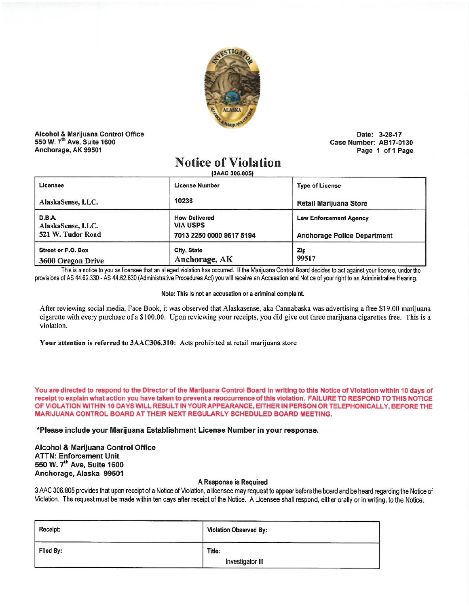

Alcohol & Marijuana Control Office 550 W. 7<sup>th</sup> Ave, Suite 1600 Anchorage, AK 99501

Date: 3-28-17 Case Number: AB17-0130 Page 1 of 1 Page

# **Notice of Violation**

(3AAC 306.805)

| Licensee                                         | <b>License Number</b>                                               | <b>Type of License</b>                                              |  |
|--------------------------------------------------|---------------------------------------------------------------------|---------------------------------------------------------------------|--|
| AlaskaSense, LLC.                                | 10236                                                               | Retail Marijuana Store                                              |  |
| D.B.A.<br>AlaskaSense, LLC.<br>521 W. Tudor Road | <b>How Delivered</b><br><b>VIA USPS</b><br>7013 2250 0000 9617 5194 | <b>Law Enforcement Agency</b><br><b>Anchorage Police Department</b> |  |
| Street or P.O. Box<br>3600 Oregon Drive          | City, State<br>Anchorage, AK                                        | Zip<br>99517                                                        |  |

This is a notice to you as licensee that an alleged violation has occurred. If the Marijuana Control Board decides to act against your license, under the provisions of AS 44.62.330 - AS 44.62.630 (Administrative Procedures Act) you will receive an Accusation and Notice of your right to an Administrative Hearing.

#### Note: This is not an accusation or a criminal complaint.

After reviewing social media, Face Book, it was observed that Alaskasense, aka Cannabaska was advertising a free \$19.00 marijuana cigarette with every purchase of a \$100.00. Upon reviewing your receipts, you did give out three marijuana cigarettes free. This is a violation.

Your attention is referred to 3AAC306.310: Acts prohibited at retail marijuana store

You are directed to respond to the Director of the Marijuana Control Board in writing to this Notice of Violation within 10 days of receipt to explain what action you have taken to prevent a reoccurrence of this violation. FAILURE TO RESPOND TO THIS NOTICE OF VIOLATION WITHIN 10 DAYS WILL RESULT IN YOUR APPEARANCE, EITHER IN PERSON OR TELEPHONICALLY, BEFORE THE MARIJUANA CONTROL BOARD AT THEIR NEXT REGULARLY SCHEDULED BOARD MEETING.

\*Please include your Marijuana Establishment License Number in your response.

Alcohol & Marijuana Control Office **ATTN: Enforcement Unit** 550 W. 7th Ave, Suite 1600 Anchorage, Alaska 99501

### A Response is Required

3 AAC 306.805 provides that upon receipt of a Notice of Violation, a licensee may request to appear before the board and be heard regarding the Notice of Violation. The request must be made within ten days after receipt of the Notice. A Licensee shall respond, either orally or in writing, to the Notice.

| Receipt:  | Violation Observed By: |
|-----------|------------------------|
| Filed By: | Title:                 |
|           | Investigator III       |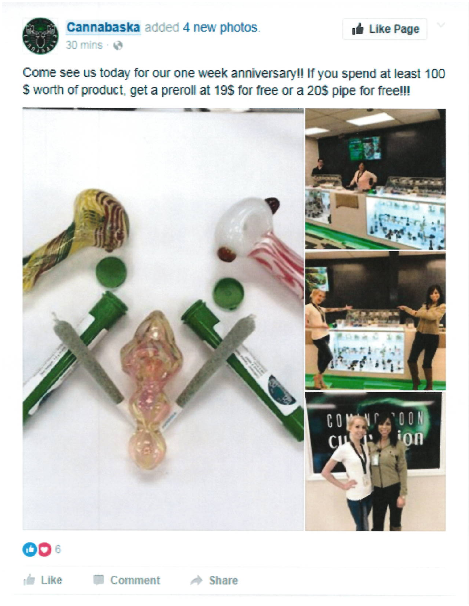

Come see us today for our one week anniversary!! If you spend at least 100 \$ worth of product, get a preroll at 19\$ for free or a 20\$ pipe for free!!!

Like Page





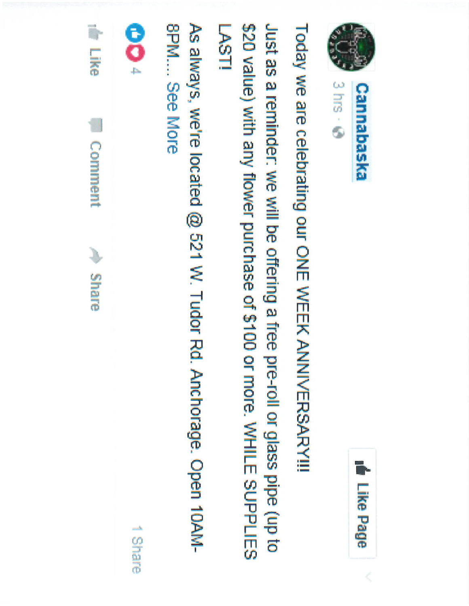



Today we are celebrating our ONE WEEK ANNIVERSARY!!!

Just as a reminder: we will be offering a free pre-roll or glass pipe (up to \$20 value) with any flower purchase of \$100 or more. WHILE SUPPLIES LASTI

As always, we're located @ 521 W. Tudor Rd. Anchorage. Open 10AM-**SPM.... See More** 

**OO** 

1 Share

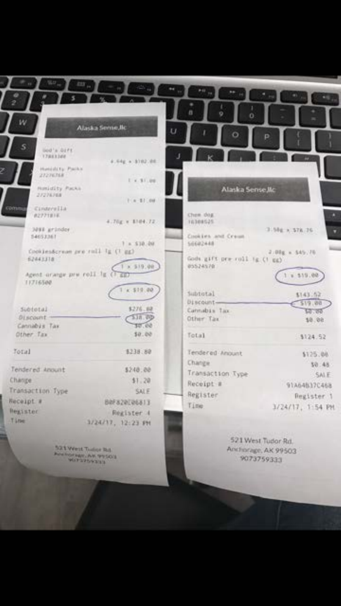| w                                                          | Alaska Seme, Ilc     | ö                                        |                     |
|------------------------------------------------------------|----------------------|------------------------------------------|---------------------|
| s<br>lied's birts.<br><b>TREETING</b><br>Hanisters: Packal | 4.64g a 10102100     |                                          |                     |
| 27276768                                                   | 1.4.31.08            |                                          |                     |
| <b>Ratidity Packs</b><br>27276768                          | $1.44 - 1.11 - 0.01$ | Alaska Sense Mc                          |                     |
| com<br>Cinavvilla<br>#2771#1E                              | 4.70g v. 1104.72.    | Chem dog<br>16308525                     |                     |
| SOKE grander<br>134153,367                                 | $7 - 510 - 00$       | Cookies and Crean<br>56682448            | 3.58g x \$78.76     |
| Cookies&crean pre:roll Tg (T gg)<br>6244338<br>1 × 519.00  |                      | Gods gift pre roll (g () gg)<br>05524570 | $2.01g + 545.76$    |
| Agent arange pre roll is (1)<br>11716500                   |                      |                                          | 1.1.519.00          |
|                                                            | 1.4.519.00           | Subtutal<br>Discount-                    | \$143.52<br>519.00  |
| Subtotal                                                   | \$276.88             | Cannabia Tax                             | 50.80               |
| Discount -<br>Cannabis Tax                                 | 538.00<br>10.00      | Other Tax                                | 10.00               |
| Other Tax                                                  | 50.00                | Total                                    | \$124.52            |
| Total                                                      | \$238.80             | Tendered Anount                          | \$125.08            |
| Tendered Annunt                                            | \$248.88             | Change                                   | 50:48               |
| Change                                                     | \$1,20               | Transaction Type                         | SALE                |
| Transaction Type                                           | SALE                 | Receipt #                                | 91A64837C468        |
| Receipt #                                                  | 80F820E06813         | Register                                 | Register 1          |
| <b>Negister</b>                                            | Register 4           | Time                                     | 3/24/17, 1:54 PM    |
| Time                                                       | 3/24/17, 12:23 PM    |                                          |                     |
|                                                            |                      |                                          | 523 West Turber Dri |

521 Wort Tudor Rd<br>Academian AR 97503

Anchorage, AK 99503 9073759333